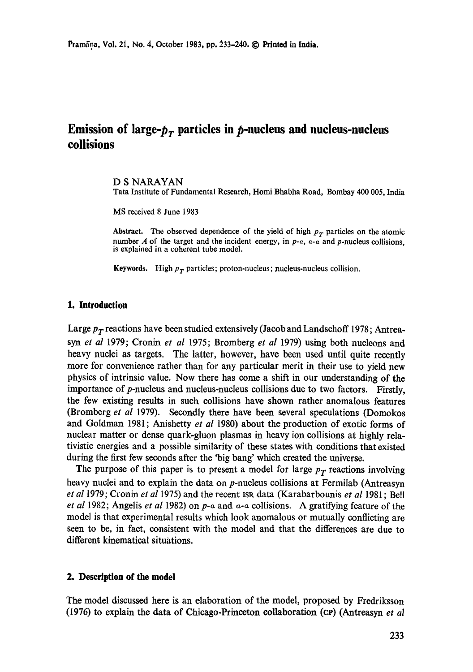# **Emission of large-** $p<sub>r</sub>$  **particles in**  $p$ **-nucleus and nucleus-nucleus collisions**

#### D S NARAYAN Tata Institute of Fundamental Research, Homi Bhabha Road, Bombay 400 005, India

MS received 8 June 1983

Abstract. The observed dependence of the yield of high  $p<sub>T</sub>$  particles on the atomic number A of the target and the incident energy, in  $p-a$ ,  $a-a$  and  $p$ -nucleus collisions, is explained in a coherent tube model.

**Keywords.** High  $p_T$  particles; proton-nucleus; nucleus-nucleus collision.

#### **1. Introduction**

Large  $p_T$  reactions have been studied extensively (Jacob and Landschoff 1978; Antrea*syn et al* 1979; Cronin *et al* 1975; Bromberg *et al* 1979) using both nucleons and heavy nuclei as targets. The latter, however, have been used until quite recently more for convenience rather than for any particular merit in their use to yield new physics of intrinsic value. Now there has come a shift in our understanding of the importance of p-nucleus and nucleus-nucleus collisions due to two factors. Firstly, the few existing results in such collisions have shown rather anomalous features (Bromberg *et al* 1979). Secondly there have been several speculations (Domokos and Goldman 1981; Anishetty *et al* 1980) about the production of exotic forms of nuclear matter or dense quark-gluon plasmas in heavy ion collisions at highly relativistic energies and a possible similarity of these states with conditions that existed during the first few seconds after the 'big bang' which created the universe.

The purpose of this paper is to present a model for large  $p_T$  reactions involving heavy nuclei and to explain the data on p-nucleus collisions at Fermilab (Antreasyn *et al* 1979; Cronin *et a11975)* and the recent IsR data (Karabarbounis *et al* 1981 ; Bell *et al* 1982; Angelis *et al* 1982) on  $p$ - $\alpha$  and  $\alpha$ - $\alpha$  collisions. A gratifying feature of the model is that experimental results which look anomalous or mutually conflicting are seen to be, in fact, consistent with the model and that the differences are due to different kinematical situations.

# **2. Description of the model**

The model discussed here is an elaboration of the model, proposed by Fredriksson (1976) to explain the data of Chicago-Princeton collaboration (cP) (Antreasyn *et al*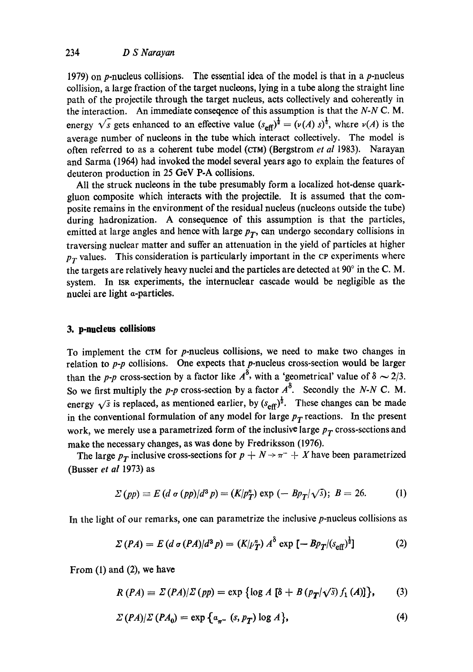1979) on *p*-nucleus collisions. The essential idea of the model is that in a *p*-nucleus collision, a large fraction of the target nucleons, lying in a tube along the straight line path of the projectile through the target nucleus, acts collectively and coherently in the interaction. An immediate conseqence of this assumption is that the *N-N C. M.*  energy  $\sqrt{s}$  gets enhanced to an effective value  $(s_{\text{eff}})^{\frac{1}{2}} = (\nu(A) s)^{\frac{1}{2}}$ , where  $\nu(A)$  is the average number of nucleons in the tube which interact collectively. The model is often referred to as a coherent tube model (CTM) (Bergstrom *et al* 1983). Narayan and Sarma (1964) had invoked the model several years ago to explain the features of deuteron production in 25 GeV P-A collisions.

All the struck nucleons in the tube presumably form a localized hot-dense quarkgluon composite which interacts with the projectile. It is assumed that the composite remains in the environment of the residual nucleus (nucleons outside the tube) during hadronization. A consequence of this assumption is that the particles, emitted at large angles and hence with large  $p_T$ , can undergo secondary collisions in traversing nuclear matter and suffer an attenuation in the yield of particles at higher  $p_T$  values. This consideration is particularly important in the  $\overline{c}$  experiments where the targets are relatively heavy nuclei and the particles are detected at  $90^\circ$  in the C.M. system. In ISR experiments, the internuclear cascade would be negligible as the nuclei are light a-particles.

# **3. p-nudens collisions**

To implement the CTM for p-nucleus collisions, we need to make two changes in relation to *p-p* collisions. One expects that p-nucleus cross-section would be larger than the *p-p* cross-section by a factor like  $A^{\delta}$ , with a 'geometrical' value of  $\delta \sim 2/3$ . So we first multiply the *p-p* cross-section by a factor  $A^{\delta}$ . Secondly the *N-N C.M.* energy  $\sqrt{s}$  is replaced, as mentioned earlier, by  $(s_{\text{eff}})^{\frac{1}{2}}$ . These changes can be made in the conventional formulation of any model for large  $p_T$  reactions. In the present work, we merely use a parametrized form of the inclusive large  $p_T$  cross-sections and make the necessary changes, as was done by Fredriksson (1976).

The large  $p_T$  inclusive cross-sections for  $p + N \rightarrow \pi^- + N$  have been parametrized (Busser *et al* 1973) as

$$
\Sigma\left(pp\right) \equiv E\left(d\,\sigma\left(pp\right)/d^3\,p\right) = \left(K/p_T^n\right)\exp\left(-\,Bp_T/\sqrt{s}\right); \ B = 26. \tag{1}
$$

In the light of our remarks, one can parametrize the inclusive  $p$ -nucleus collisions as

$$
\Sigma (PA) = E (d \sigma (PA)/d^3 p) = (K/\mu_T^n) A^{\delta} \exp \left[ - B p_T / (s_{\text{eff}})^{\frac{1}{2}} \right]
$$
 (2)

From (1) and (2), we have

$$
R(PA) = \Sigma (PA)/\Sigma (pp) = \exp \{ \log A [\delta + B (p_T/\sqrt{s}) f_1(A)] \}, \qquad (3)
$$

$$
\Sigma (PA)/\Sigma (PA_0) = \exp \left\{ a_{\pi^-} (s, p_T) \log A \right\},\tag{4}
$$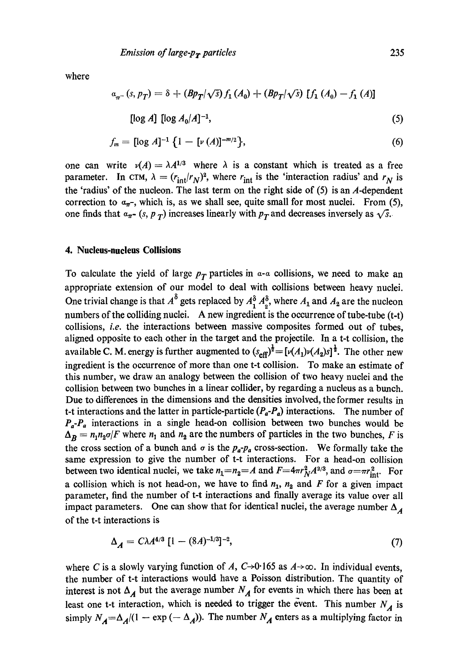where

$$
a_{\pi^-}(s, p_T) = \delta + (Bp_T/\sqrt{s}) f_1(A_0) + (Bp_T/\sqrt{s}) [f_1(A_0) - f_1(A)]
$$
  
[log A] [log  $A_0/A$ ]<sup>-1</sup>, (5)

$$
f_m = [\log A]^{-1} \{ 1 - [\nu(A)]^{-m/2} \},\tag{6}
$$

one can write  $v(A) = \lambda A^{1/3}$  where  $\lambda$  is a constant which is treated as a free parameter. In CTM,  $\lambda = (r_{int}/r_N)^2$ , where  $r_{int}$  is the 'interaction radius' and  $r_N$  is the 'radius' of the nucleon. The last term on the right side of  $(5)$  is an A-dependent correction to  $a_{\pi}$ , which is, as we shall see, quite small for most nuclei. From (5), one finds that  $a_{\pi^-}$  *(s, p<sub>T</sub>)* increases linearly with  $p_T$  and decreases inversely as  $\sqrt{s}$ .

#### **4. Nucleus-nucleus Collisions**

To calculate the yield of large  $p_T$  particles in  $\alpha$ - $\alpha$  collisions, we need to make an appropriate extension of our model to deal with collisions between heavy nuclei. One trivial change is that  $A^{\delta}$  gets replaced by  $A_1^{\delta} A_2^{\delta}$ , where  $A_1$  and  $A_2$  are the nucleon numbers of the colliding nuclei. A new ingredient is the occurrence of tube-tube (t-t) collisions, *i.e.* the interactions between massive composites formed out of tubes, aligned opposite to each other in the target and the projectile. In a t-t collision, the available C. M. energy is further augmented to  $(s_{\text{eff}})^{\frac{1}{2}} = [\nu(A_1)\nu(A_2)s]^{\frac{1}{2}}$ . The other new ingredient is the occurrence of more than one t-t collision. To make an estimate of this number, we draw an analogy between the collision of two heavy nuclei and the collision between two bunches in a linear collider, by regarding a nucleus as a bunch. Due to differences in the dimensions and the densities involved, the former results in t-t interactions and the latter in particle-particle  $(P_a-P_a)$  interactions. The number of  $P_a-P_a$  interactions in a single head-on collision between two bunches would be  $\Delta_B = n_1 n_2 \sigma / F$  where  $n_1$  and  $n_2$  are the numbers of particles in the two bunches, F is the cross section of a bunch and  $\sigma$  is the  $p_a-p_a$  cross-section. We formally take the same expression to give the number of t-t interactions. For a head-on collision between two identical nuclei, we take  $n_1=n_2=A$  and  $F=4\pi r_N^2 A^{2/3}$ , and  $\sigma=r_{\rm int}^2$ . For a collision which is not head-on, we have to find  $n_1$ ,  $n_2$  and F for a given impact parameter, find the number of t-t interactions and finally average its value over all impact parameters. One can show that for identical nuclei, the average number  $\Delta_{\mathcal{A}}$ of the t-t interactions is

$$
\Delta_A = C\lambda A^{4/3} \left[ 1 - (8A)^{-1/3} \right]^{-2},\tag{7}
$$

where C is a slowly varying function of A, C $\rightarrow$ 0.165 as A $\rightarrow$ ∞. In individual events, the number of t-t interactions would have a Poisson distribution. The quantity of interest is not  $\Delta_A$  but the average number  $N_A$  for events in which there has been at least one t-t interaction, which is needed to trigger the event. This number  $N_A$  is simply  $N_A = \Delta_A/(1 - \exp(-\Delta_A))$ . The number  $N_A$  enters as a multiplying factor in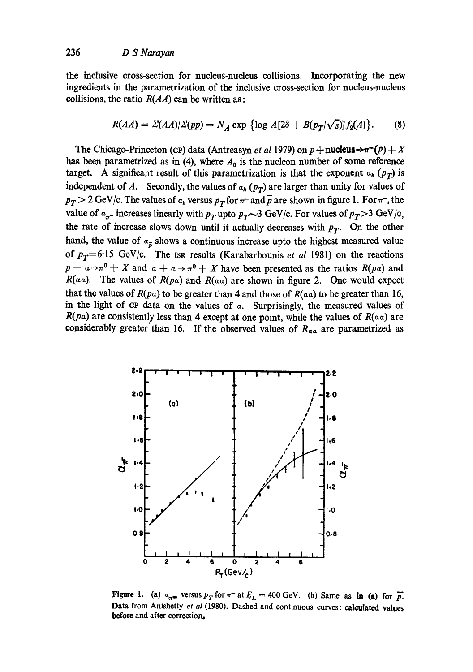the inclusive cross-section for nucleus-nucleus collisions. Incorporating the new ingredients in the parametrization of the inclusive cross-section for nucleus-nucleus collisions, the ratio  $R(AA)$  can be written as:

$$
R(AA) = \Sigma(AA)/\Sigma(pp) = N_A \exp \left\{ \log A[2\delta + B(p_T/\sqrt{s})] f_2(A) \right\}.
$$
 (8)

The Chicago-Princeton (CP) data (Antreasyn *et al* 1979) on  $p +$ **nucleus** $\rightarrow \pi^{-}(p) + X$ has been parametrized as in (4), where  $A_0$  is the nucleon number of some reference target. A significant result of this parametrization is that the exponent  $a_h$  ( $p_T$ ) is independent of A. Secondly, the values of  $a_h (p_T)$  are larger than unity for values of  $p_T > 2$  GeV/c. The values of  $a_h$  versus  $p_T$  for  $\pi^-$  and  $\bar{p}$  are shown in figure 1. For  $\pi^-$ , the value of  $\alpha_{\pi^-}$  increases linearly with  $p_T$  upto  $p_T \sim 3$  GeV/c. For values of  $p_T > 3$  GeV/c, the rate of increase slows down until it actually decreases with  $p_T$ . On the other hand, the value of  $a_{\overline{p}}$  shows a continuous increase upto the highest measured value of  $p_T=6.15$  GeV/c. The ISR results (Karabarbounis *et al* 1981) on the reactions  $p + a \rightarrow \pi^0 + X$  and  $a + a \rightarrow \pi^0 + X$  have been presented as the ratios  $R(p\alpha)$  and  $R(a\alpha)$ . The values of  $R(p\alpha)$  and  $R(a\alpha)$  are shown in figure 2. One would expect that the values of  $R(pa)$  to be greater than 4 and those of  $R(aa)$  to be greater than 16, in the light of  $CP$  data on the values of  $\alpha$ . Surprisingly, the measured values of  $R(pa)$  are consistently less than 4 except at one point, while the values of  $R(aa)$  are considerably greater than 16. If the observed values of  $R_{aa}$  are parametrized as



Figure 1. (a)  $a_{\pi^m}$  versus  $p_T$  for  $\pi^-$  at  $E_L = 400$  GeV. (b) Same as in (a) for  $\bar{p}$ . Data from Anishetty *et al* (1980). Dashed and continuous curves: calculated values before and after correction.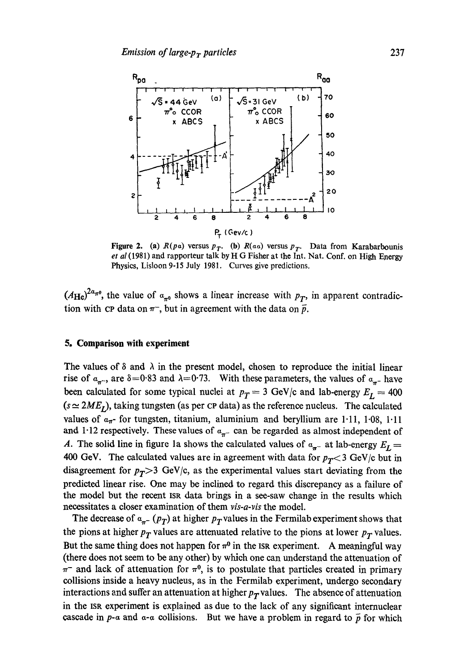

Figure 2. (a)  $R(p\alpha)$  versus  $p_T$ . (b)  $R(\alpha\alpha)$  versus  $p_T$ . Data from Karabarbounis *et al* (1981) and rapporteur talk by H G Fisher at the Int. Nat. Conf. on High Energy Physics, Lisloon 9-15 July 1981. Curves give predictions.

 $(A_{\text{He}})^{2a_{\pi\theta}}$ , the value of  $a_{\pi\theta}$  shows a linear increase with  $p_T$ , in apparent contradiction with cp data on  $\pi^-$ , but in agreement with the data on  $\bar{p}$ .

# **5. Comparison with experiment**

The values of  $\delta$  and  $\lambda$  in the present model, chosen to reproduce the initial linear rise of  $a_{\pi^-}$ , are  $\delta = 0.83$  and  $\lambda = 0.73$ . With these parameters, the values of  $a_{\pi^-}$  have been calculated for some typical nuclei at  $p_T = 3$  GeV/c and lab-energy  $E_L = 400$  $(s \approx 2ME<sub>L</sub>)$ , taking tungsten (as per CP data) as the reference nucleus. The calculated values of  $a_{\pi}$ - for tungsten, titanium, aluminium and beryllium are 1.11, 1.08, 1.11 and 1.12 respectively. These values of  $\alpha_{\pi^-}$  can be regarded as almost independent of A. The solid line in figure 1a shows the calculated values of  $a_{\pi^-}$  at lab-energy  $E_L =$ 400 GeV. The calculated values are in agreement with data for  $p_T < 3$  GeV/c but in disagreement for  $p_T > 3$  GeV/c, as the experimental values start deviating from the predicted linear rise. One may be inclined to regard this discrepancy as a failure of the model but the recent IsR data brings in a see-saw change in the results which necessitates a closer examination of them *vis-a-vis* the model.

The decrease of  $\alpha_{\pi^-}(p_T)$  at higher  $p_T$  values in the Fermilab experiment shows that the pions at higher  $p_T$  values are attenuated relative to the pions at lower  $p_T$  values. But the same thing does not happen for  $\pi^0$  in the ISR experiment. A meaningful way (there does not seem to be any other) by which one can understand the attenuation of  $\pi^-$  and lack of attenuation for  $\pi^0$ , is to postulate that particles created in primary collisions inside a heavy nucleus, as in the Fermilab experiment, undergo secondary interactions and suffer an attenuation at higher  $p_T$  values. The absence of attenuation in the ISR experiment is explained as due to the lack of any significant internuclear cascade in  $p$ - $\alpha$  and  $\alpha$ - $\alpha$  collisions. But we have a problem in regard to  $\bar{p}$  for which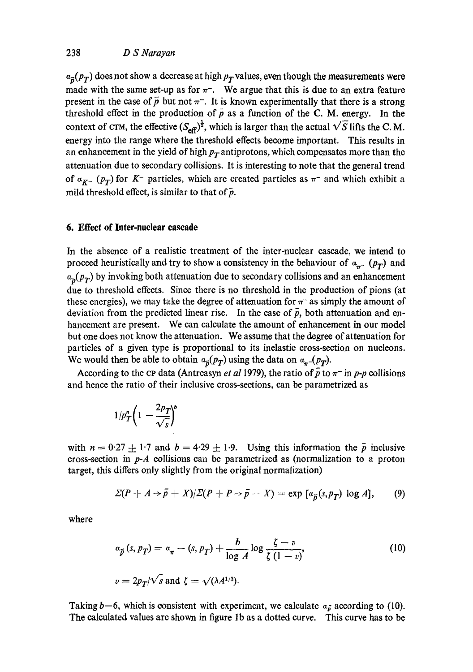$a_{\vec{p}}(p_T)$  does not show a decrease at high  $p_T$  values, even though the measurements were made with the same set-up as for  $\pi^-$ . We argue that this is due to an extra feature present in the case of  $\bar{p}$  but not  $\pi^-$ . It is known experimentally that there is a strong threshold effect in the production of  $\bar{p}$  as a function of the C. M. energy. In the context of CTM, the effective  $(S_{\text{eff}})^{\frac{1}{2}}$ , which is larger than the actual  $\sqrt{S}$  lifts the C.M. energy into the range where the threshold effects become important. This results in an enhancement in the yield of high  $p_T$  antiprotons, which compensates more than the attenuation due to secondary collisions. It is interesting to note that the general trend of  $a_{K^-}$  ( $p_T$ ) for K<sup>-</sup> particles, which are created particles as  $\pi^-$  and which exhibit a mild threshold effect, is similar to that of  $\bar{p}$ .

# **6. Effect of Inter-nuclear cascade**

In the absence of a realistic treatment of the inter-nuclear cascade, we intend to proceed heuristically and try to show a consistency in the behaviour of  $\alpha_{\pi^-}$  ( $p_T$ ) and  $a_{\bar{p}}(p_T)$  by invoking both attenuation due to secondary collisions and an enhancement due to threshold effects. Since there is no threshold in the production of pions (at these energies), we may take the degree of attenuation for  $\pi^-$  as simply the amount of deviation from the predicted linear rise. In the case of  $\bar{p}$ , both attenuation and enhancement are present. We can calculate the amount of enhancement in our model but one does not know the attenuation. We assume that the degree of attenuation for particles of a given type is proportional to its inelastic cross-section on nucleons. We would then be able to obtain  $a_{\bar{p}}(p_T)$  using the data on  $a_{\pi}(p_T)$ .

According to the CP data (Antreasyn *et al* 1979), the ratio of  $\bar{p}$  to  $\pi^-$  in *p-p* collisions and hence the ratio of their inclusive cross-sections, can be parametrized as

$$
1/p_T^n\bigg(1-\frac{2p_T}{\sqrt{s}}\bigg)^b
$$

with  $n = 0.27 \pm 1.7$  and  $b = 4.29 \pm 1.9$ . Using this information the  $\bar{p}$  inclusive cross-section in *p-A* collisions can be parametrized as (normalization to a proton target, this differs only slightly from the original normalization)

$$
\Sigma(P + A \rightarrow \bar{p} + X)/\Sigma(P + P \rightarrow \bar{p} + X) = \exp [a_{\bar{p}}(s, p_{\bar{T}}) \log A], \qquad (9)
$$

where

$$
\alpha_{\vec{p}}(s, p_T) = \alpha_{\pi} - (s, p_T) + \frac{b}{\log A} \log \frac{\zeta - v}{\zeta (1 - v)},
$$
\n
$$
v = 2p_T/\sqrt{s} \text{ and } \zeta = \sqrt{(\lambda A^{1/3})}.
$$
\n(10)

Taking  $b=6$ , which is consistent with experiment, we calculate  $a_{\tilde{\theta}}$  according to (10). The calculated values are shown in figure lb as a dotted curve. This curve has to be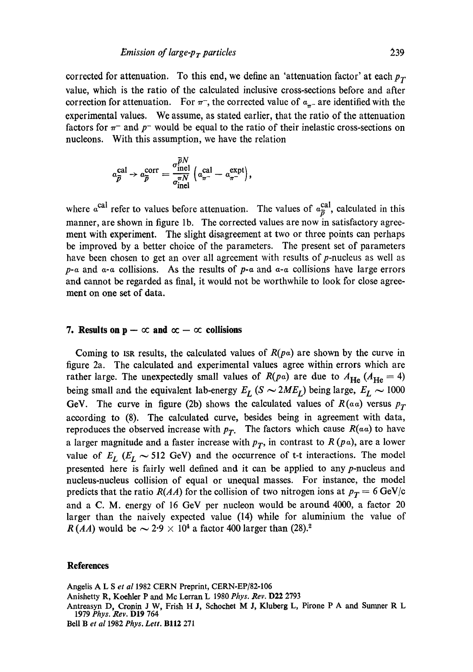corrected for attenuation. To this end, we define an 'attenuation factor' at each  $p_T$ value, which is the ratio of the calculated inclusive cross-sections before and after correction for attenuation. For  $\pi^-$ , the corrected value of  $\alpha_{\pi^-}$  are identified with the experimental values. We assume, as stated earlier, that the ratio of the attenuation factors for  $\pi^-$  and p- would be equal to the ratio of their inelastic cross-sections on nucleons. With this assumption, we have the relation

$$
a_{\overline{p}}^{\text{cal}} \rightarrow a_{\overline{p}}^{\text{corr}} = \frac{\sigma_{\text{inel}}^{\overline{p}N}}{\sigma_{\text{inel}}^{\pi N}} \left( a_{\pi^-}^{\text{cal}} - a_{\pi^-}^{\text{expt}} \right),
$$

where  $\alpha^{\text{cal}}$  refer to values before attenuation. The values of  $\alpha_{\overline{p}}^{\text{cal}}$ , calculated in this manner, are shown in figure lb. The corrected values are now in satisfactory agreement with experiment. The slight disagreement at two or three points can perhaps be improved by a better choice of the parameters. The present set of parameters have been chosen to get an over all agreement with results of  $p$ -nucleus as well as  $p-a$  and  $a-a$  collisions. As the results of  $p-a$  and  $a-a$  collisions have large errors and cannot be regarded as final, it would not be worthwhile to look for close agreement on one set of data.

# **7.** Results on  $p - \infty$  and  $\infty - \infty$  collisions

Coming to ISR results, the calculated values of  $R(p\alpha)$  are shown by the curve in figure 2a. The calculated and experimental values agree within errors which are rather large. The unexpectedly small values of  $R(p\alpha)$  are due to  $A_{\text{He}} (A_{\text{He}} = 4)$ being small and the equivalent lab-energy  $E_L$  ( $S \sim 2ME_L$ ) being large,  $E_L \sim 1000$ GeV. The curve in figure (2b) shows the calculated values of  $R(a\alpha)$  versus  $p_T$ according to (8). The calculated curve, besides being in agreement with data, reproduces the observed increase with  $p_T$ . The factors which cause  $R(aa)$  to have a larger magnitude and a faster increase with  $p<sub>T</sub>$ , in contrast to  $R(pa)$ , are a lower value of  $E_L$  ( $E_L \sim 512$  GeV) and the occurrence of t-t interactions. The model presented here is fairly well defined and it can be applied to any  $p$ -nucleus and nucleus-nucleus collision of equal or unequal masses. For instance, the model predicts that the ratio *R(AA)* for the collision of two nitrogen ions at  $p_T = 6 \text{ GeV/c}$ and a C. M. energy of 16 GeV per nucleon would be around 4000, a factor 20 larger than the naively expected value (14) while for aluminium the value of *R (AA)* would be  $\sim 2.9 \times 10^4$  a factor 400 larger than (28).<sup>2</sup>

#### **References**

Angelis A L S et al 1982 CERN Preprint, CERN-EP/82-106 Anishetty R, Koehler P and Mc Lerran L 1980 Phys. Rev. D22 2793 Antreasyn D, Cronin J W, Frish H J, Schochet M J, Kluberg L, Pirone P A and Sumner R L 1979 *Phys. gev.* D19 764 Bell B *et al* 1982 *Phys. Lett.* BII2 271